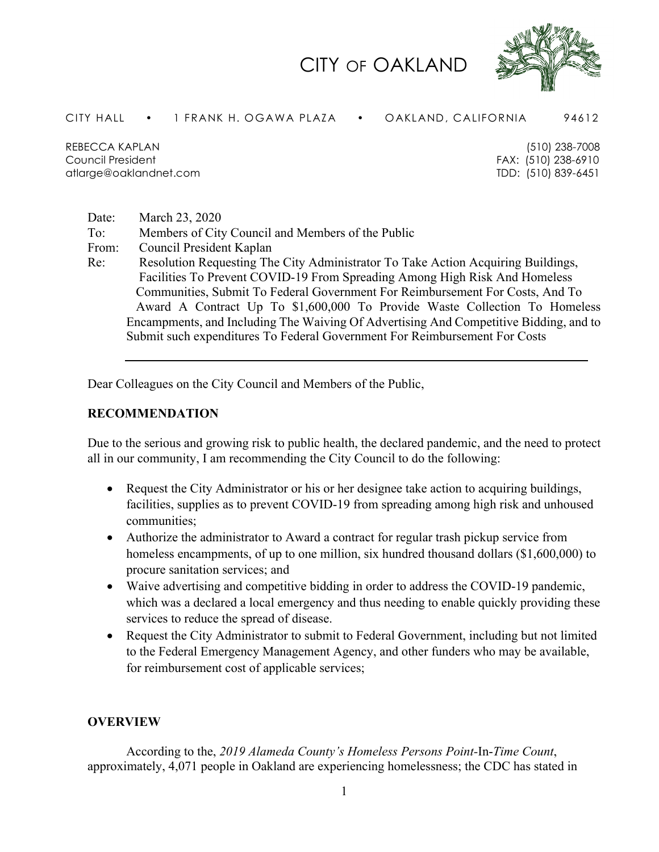## CITY OF OAKLAND



CITY HALL • 1 FRANK H. OGAWA PLAZA • OAKLAND, CALIFORNIA 94612

REBECCA KAPLAN (510) 238-7008 Council President FAX: (510) 238-6910 atlarge@oaklandnet.com TDD: (510) 839-6451

Date: March 23, 2020 To: Members of City Council and Members of the Public From: Council President Kaplan Re: Resolution Requesting The City Administrator To Take Action Acquiring Buildings, Facilities To Prevent COVID-19 From Spreading Among High Risk And Homeless Communities, Submit To Federal Government For Reimbursement For Costs, And To Award A Contract Up To \$1,600,000 To Provide Waste Collection To Homeless Encampments, and Including The Waiving Of Advertising And Competitive Bidding, and to Submit such expenditures To Federal Government For Reimbursement For Costs

Dear Colleagues on the City Council and Members of the Public,

### **RECOMMENDATION**

Due to the serious and growing risk to public health, the declared pandemic, and the need to protect all in our community, I am recommending the City Council to do the following:

- Request the City Administrator or his or her designee take action to acquiring buildings, facilities, supplies as to prevent COVID-19 from spreading among high risk and unhoused communities;
- Authorize the administrator to Award a contract for regular trash pickup service from homeless encampments, of up to one million, six hundred thousand dollars (\$1,600,000) to procure sanitation services; and
- Waive advertising and competitive bidding in order to address the COVID-19 pandemic, which was a declared a local emergency and thus needing to enable quickly providing these services to reduce the spread of disease.
- Request the City Administrator to submit to Federal Government, including but not limited to the Federal Emergency Management Agency, and other funders who may be available, for reimbursement cost of applicable services;

#### **OVERVIEW**

According to the, *2019 Alameda County's Homeless Persons Point-*In-*Time Count*, approximately, 4,071 people in Oakland are experiencing homelessness; the CDC has stated in